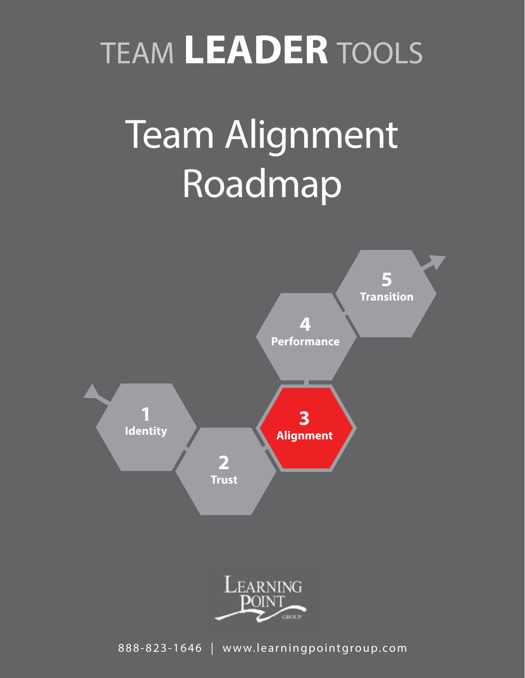## TEAM **LEADER** TOOLS

# Team Alignment Roadmap



888-823-1646 | www.learningpointgroup.com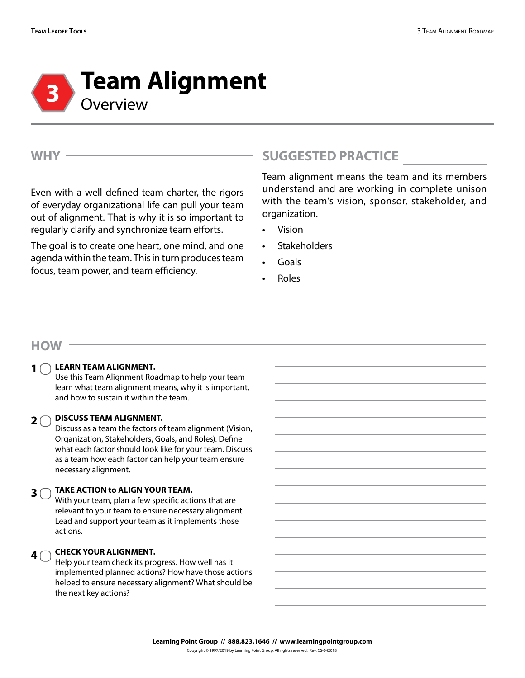

**WHY**

Even with a well-defined team charter, the rigors of everyday organizational life can pull your team out of alignment. That is why it is so important to regularly clarify and synchronize team efforts.

The goal is to create one heart, one mind, and one agenda within the team. This in turn produces team focus, team power, and team efficiency.

## **SUGGESTED PRACTICE**

Team alignment means the team and its members understand and are working in complete unison with the team's vision, sponsor, stakeholder, and organization.

- Vision
- **Stakeholders**
- Goals
- Roles

#### **HOW**

#### **LEARN TEAM ALIGNMENT. 1**

Use this Team Alignment Roadmap to help your team learn what team alignment means, why it is important, and how to sustain it within the team.

### **2**  $\bigcirc$  DISCUSS TEAM ALIGNMENT.

Discuss as a team the factors of team alignment (Vision, Organization, Stakeholders, Goals, and Roles). Define what each factor should look like for your team. Discuss as a team how each factor can help your team ensure necessary alignment.

#### **TAKE ACTION to ALIGN YOUR TEAM. 3**

With your team, plan a few specific actions that are relevant to your team to ensure necessary alignment. Lead and support your team as it implements those actions.

#### **CHECK YOUR ALIGNMENT.**   $4<sup>^\frown</sup>$

Help your team check its progress. How well has it implemented planned actions? How have those actions helped to ensure necessary alignment? What should be the next key actions?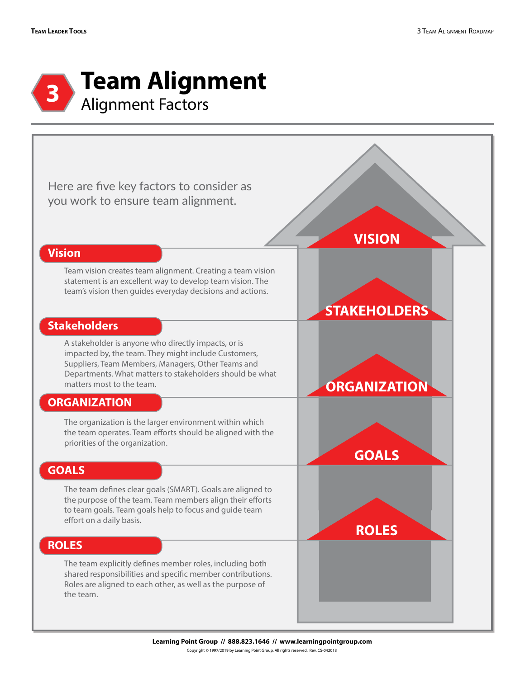

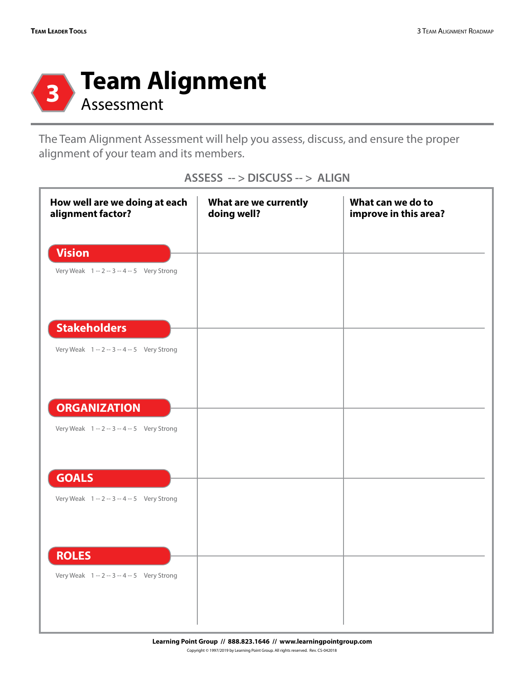

The Team Alignment Assessment will help you assess, discuss, and ensure the proper alignment of your team and its members.

| How well are we doing at each<br>alignment factor?                 | What are we currently<br>doing well? | What can we do to<br>improve in this area? |
|--------------------------------------------------------------------|--------------------------------------|--------------------------------------------|
| <b>Vision</b><br>Very Weak 1 -- 2 -- 3 -- 4 -- 5 Very Strong       |                                      |                                            |
| <b>Stakeholders</b><br>Very Weak 1 -- 2 -- 3 -- 4 -- 5 Very Strong |                                      |                                            |
| <b>ORGANIZATION</b><br>Very Weak 1 -- 2 -- 3 -- 4 -- 5 Very Strong |                                      |                                            |
| <b>GOALS</b><br>Very Weak 1 -- 2 -- 3 -- 4 -- 5 Very Strong        |                                      |                                            |
| <b>ROLES</b><br>Very Weak 1 -- 2 -- 3 -- 4 -- 5 Very Strong        |                                      |                                            |

**ASSESS -- > DISCUSS -- > ALIGN**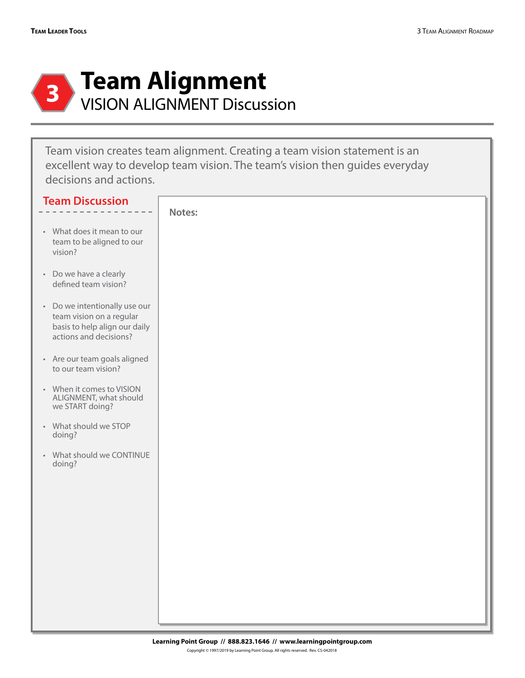

Team vision creates team alignment. Creating a team vision statement is an excellent way to develop team vision. The team's vision then guides everyday decisions and actions.

| <b>Team Discussion</b>                                                                                               |        |
|----------------------------------------------------------------------------------------------------------------------|--------|
|                                                                                                                      | Notes: |
| • What does it mean to our<br>team to be aligned to our<br>vision?                                                   |        |
| • Do we have a clearly<br>defined team vision?                                                                       |        |
| • Do we intentionally use our<br>team vision on a regular<br>basis to help align our daily<br>actions and decisions? |        |
| • Are our team goals aligned<br>to our team vision?                                                                  |        |
| • When it comes to VISION<br>ALIGNMENT, what should<br>we START doing?                                               |        |
| • What should we STOP<br>doing?                                                                                      |        |
| • What should we CONTINUE<br>doing?                                                                                  |        |
|                                                                                                                      |        |
|                                                                                                                      |        |
|                                                                                                                      |        |
|                                                                                                                      |        |
|                                                                                                                      |        |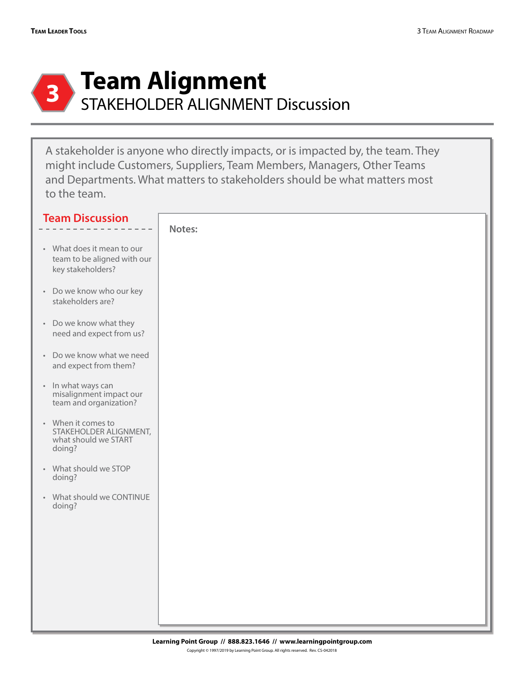

A stakeholder is anyone who directly impacts, or is impacted by, the team. They might include Customers, Suppliers, Team Members, Managers, Other Teams and Departments. What matters to stakeholders should be what matters most to the team.

| <b>Team Discussion</b>                                                         |        |
|--------------------------------------------------------------------------------|--------|
| • What does it mean to our<br>team to be aligned with our<br>key stakeholders? | Notes: |
| • Do we know who our key<br>stakeholders are?                                  |        |
| • Do we know what they<br>need and expect from us?                             |        |
| • Do we know what we need<br>and expect from them?                             |        |
| • In what ways can<br>misalignment impact our<br>team and organization?        |        |
| • When it comes to<br>STAKEHOLDER ALIGNMENT,<br>what should we START<br>doing? |        |
| • What should we STOP<br>doing?                                                |        |
| • What should we CONTINUE<br>doing?                                            |        |
|                                                                                |        |
|                                                                                |        |
|                                                                                |        |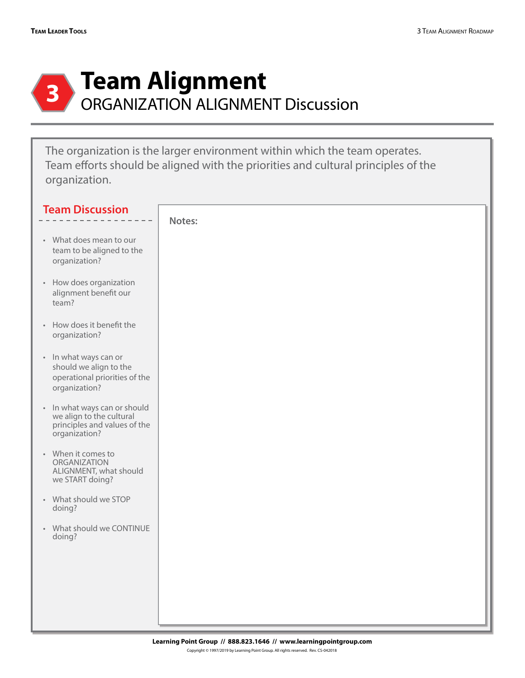

The organization is the larger environment within which the team operates. Team efforts should be aligned with the priorities and cultural principles of the organization.

| <b>Team Discussion</b>                                                                                    |        |
|-----------------------------------------------------------------------------------------------------------|--------|
|                                                                                                           | Notes: |
| • What does mean to our<br>team to be aligned to the<br>organization?                                     |        |
| • How does organization<br>alignment benefit our<br>team?                                                 |        |
| • How does it benefit the<br>organization?                                                                |        |
| • In what ways can or<br>should we align to the<br>operational priorities of the<br>organization?         |        |
| • In what ways can or should<br>we align to the cultural<br>principles and values of the<br>organization? |        |
| • When it comes to<br>ORGANIZATION<br>ALIGNMENT, what should<br>we START doing?                           |        |
| • What should we STOP<br>doing?                                                                           |        |
| • What should we CONTINUE<br>doing?                                                                       |        |
|                                                                                                           |        |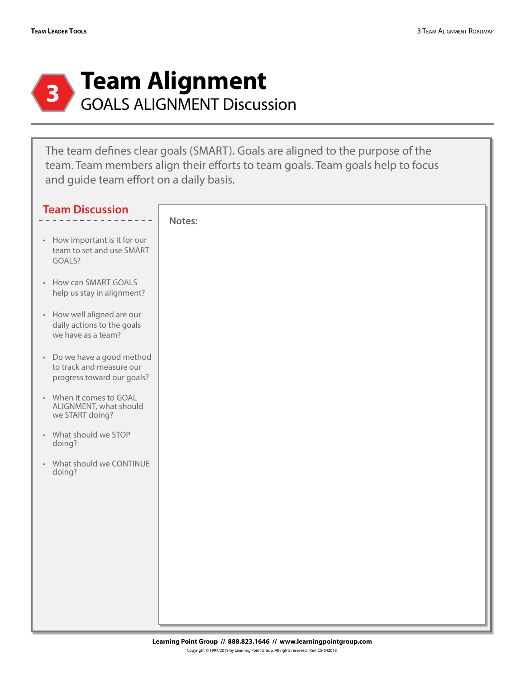

The team defines clear goals (SMART). Goals are aligned to the purpose of the team. Team members align their efforts to team goals. Team goals help to focus and guide team effort on a daily basis.

| <b>Team Discussion</b>                                                               |        |
|--------------------------------------------------------------------------------------|--------|
| • How important is it for our<br>team to set and use SMART<br>GOALS?                 | Notes: |
| • How can SMART GOALS<br>help us stay in alignment?                                  |        |
| • How well aligned are our<br>daily actions to the goals<br>we have as a team?       |        |
| • Do we have a good method<br>to track and measure our<br>progress toward our goals? |        |
| • When it comes to GOAL<br>ALIGNMENT, what should<br>we START doing?                 |        |
| • What should we STOP<br>doing?                                                      |        |
| • What should we CONTINUE<br>doing?                                                  |        |
|                                                                                      |        |
|                                                                                      |        |
|                                                                                      |        |
|                                                                                      |        |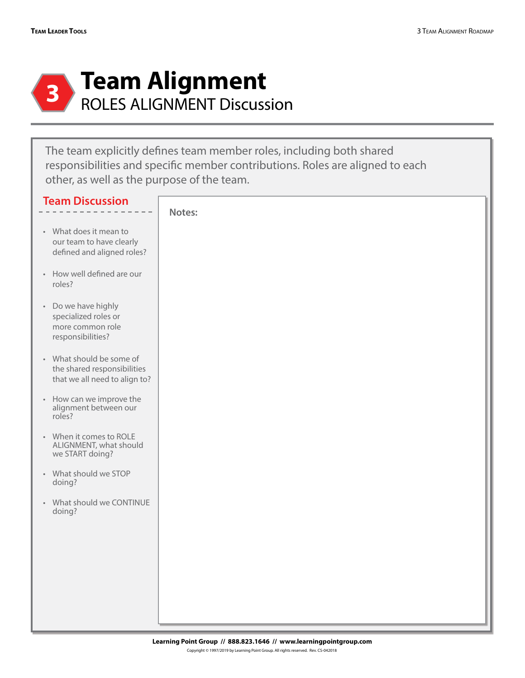

The team explicitly defines team member roles, including both shared responsibilities and specific member contributions. Roles are aligned to each other, as well as the purpose of the team.

| <b>Team Discussion</b>                                                                   |        |
|------------------------------------------------------------------------------------------|--------|
| • What does it mean to<br>our team to have clearly<br>defined and aligned roles?         | Notes: |
| • How well defined are our<br>roles?                                                     |        |
| • Do we have highly<br>specialized roles or<br>more common role<br>responsibilities?     |        |
| • What should be some of<br>the shared responsibilities<br>that we all need to align to? |        |
| • How can we improve the<br>alignment between our<br>roles?                              |        |
| • When it comes to ROLE<br>ALIGNMENT, what should<br>we START doing?                     |        |
| • What should we STOP<br>doing?                                                          |        |
| • What should we CONTINUE<br>doing?                                                      |        |